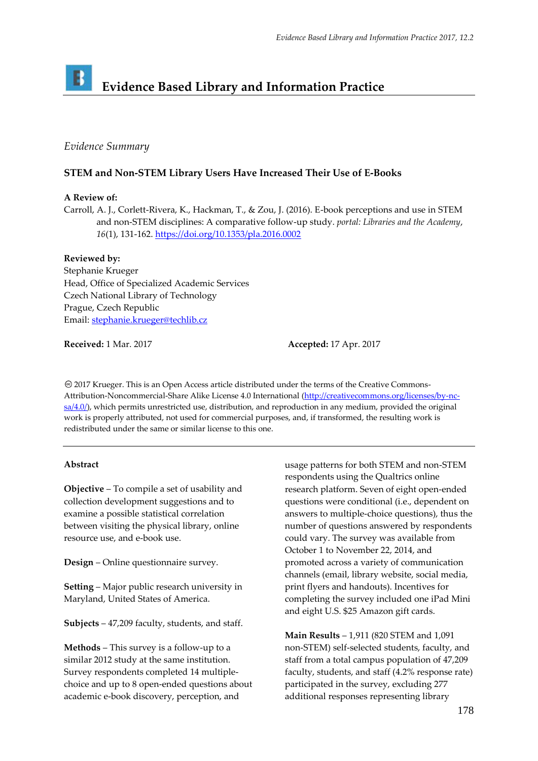# B **Evidence Based Library and Information Practice**

# *Evidence Summary*

## **STEM and Non-STEM Library Users Have Increased Their Use of E-Books**

## **A Review of:**

Carroll, A. J., Corlett-Rivera, K., Hackman, T., & Zou, J. (2016). E-book perceptions and use in STEM and non-STEM disciplines: A comparative follow-up study. *portal: Libraries and the Academy*, *16*(1), 131-162.<https://doi.org/10.1353/pla.2016.0002>

## **Reviewed by:**

Stephanie Krueger Head, Office of Specialized Academic Services Czech National Library of Technology Prague, Czech Republic Email[: stephanie.krueger@techlib.cz](mailto:stephanie.krueger@techlib.cz)

**Received:** 1 Mar. 2017 **Accepted:** 17 Apr. 2017

2017 Krueger. This is an Open Access article distributed under the terms of the Creative Commons‐ Attribution‐Noncommercial‐Share Alike License 4.0 International [\(http://creativecommons.org/licenses/by-nc-](http://creativecommons.org/licenses/by-nc-sa/4.0/) $\frac{\text{sa}(4.0)}{2}$ , which permits unrestricted use, distribution, and reproduction in any medium, provided the original work is properly attributed, not used for commercial purposes, and, if transformed, the resulting work is redistributed under the same or similar license to this one.

#### **Abstract**

**Objective** – To compile a set of usability and collection development suggestions and to examine a possible statistical correlation between visiting the physical library, online resource use, and e-book use.

**Design** – Online questionnaire survey.

**Setting** – Major public research university in Maryland, United States of America.

**Subjects** – 47,209 faculty, students, and staff.

**Methods** – This survey is a follow-up to a similar 2012 study at the same institution. Survey respondents completed 14 multiplechoice and up to 8 open-ended questions about academic e-book discovery, perception, and

usage patterns for both STEM and non-STEM respondents using the Qualtrics online research platform. Seven of eight open-ended questions were conditional (i.e., dependent on answers to multiple-choice questions), thus the number of questions answered by respondents could vary. The survey was available from October 1 to November 22, 2014, and promoted across a variety of communication channels (email, library website, social media, print flyers and handouts). Incentives for completing the survey included one iPad Mini and eight U.S. \$25 Amazon gift cards.

**Main Results** – 1,911 (820 STEM and 1,091 non-STEM) self-selected students, faculty, and staff from a total campus population of 47,209 faculty, students, and staff (4.2% response rate) participated in the survey, excluding 277 additional responses representing library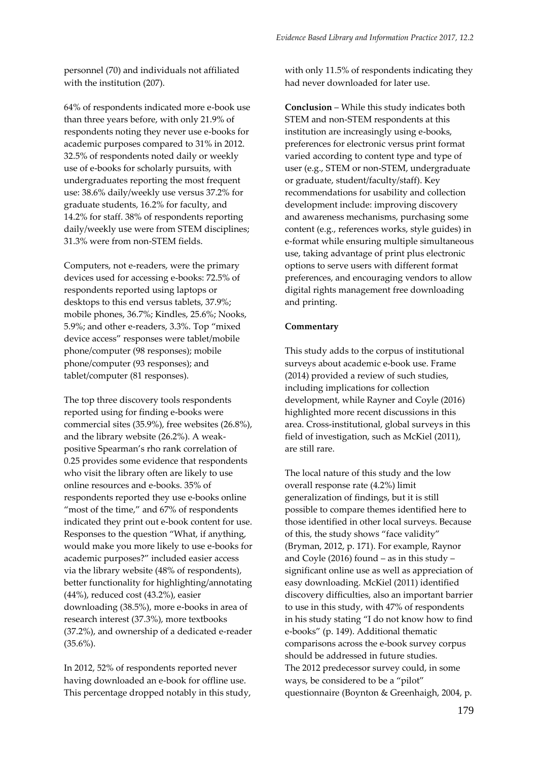personnel (70) and individuals not affiliated with the institution (207).

64% of respondents indicated more e-book use than three years before, with only 21.9% of respondents noting they never use e-books for academic purposes compared to 31% in 2012. 32.5% of respondents noted daily or weekly use of e-books for scholarly pursuits, with undergraduates reporting the most frequent use: 38.6% daily/weekly use versus 37.2% for graduate students, 16.2% for faculty, and 14.2% for staff. 38% of respondents reporting daily/weekly use were from STEM disciplines; 31.3% were from non-STEM fields.

Computers, not e-readers, were the primary devices used for accessing e-books: 72.5% of respondents reported using laptops or desktops to this end versus tablets, 37.9%; mobile phones, 36.7%; Kindles, 25.6%; Nooks, 5.9%; and other e-readers, 3.3%. Top "mixed device access" responses were tablet/mobile phone/computer (98 responses); mobile phone/computer (93 responses); and tablet/computer (81 responses).

The top three discovery tools respondents reported using for finding e-books were commercial sites (35.9%), free websites (26.8%), and the library website (26.2%). A weakpositive Spearman's rho rank correlation of 0.25 provides some evidence that respondents who visit the library often are likely to use online resources and e-books. 35% of respondents reported they use e-books online "most of the time," and 67% of respondents indicated they print out e-book content for use. Responses to the question "What, if anything, would make you more likely to use e-books for academic purposes?" included easier access via the library website (48% of respondents), better functionality for highlighting/annotating (44%), reduced cost (43.2%), easier downloading (38.5%), more e-books in area of research interest (37.3%), more textbooks (37.2%), and ownership of a dedicated e-reader  $(35.6\%)$ .

In 2012, 52% of respondents reported never having downloaded an e-book for offline use. This percentage dropped notably in this study,

with only 11.5% of respondents indicating they had never downloaded for later use.

**Conclusion** – While this study indicates both STEM and non-STEM respondents at this institution are increasingly using e-books, preferences for electronic versus print format varied according to content type and type of user (e.g., STEM or non-STEM, undergraduate or graduate, student/faculty/staff). Key recommendations for usability and collection development include: improving discovery and awareness mechanisms, purchasing some content (e.g., references works, style guides) in e-format while ensuring multiple simultaneous use, taking advantage of print plus electronic options to serve users with different format preferences, and encouraging vendors to allow digital rights management free downloading and printing.

#### **Commentary**

This study adds to the corpus of institutional surveys about academic e-book use. Frame (2014) provided a review of such studies, including implications for collection development, while Rayner and Coyle (2016) highlighted more recent discussions in this area. Cross-institutional, global surveys in this field of investigation, such as McKiel (2011), are still rare.

The local nature of this study and the low overall response rate (4.2%) limit generalization of findings, but it is still possible to compare themes identified here to those identified in other local surveys. Because of this, the study shows "face validity" (Bryman, 2012, p. 171). For example, Raynor and Coyle (2016) found – as in this study – significant online use as well as appreciation of easy downloading. McKiel (2011) identified discovery difficulties, also an important barrier to use in this study, with 47% of respondents in his study stating "I do not know how to find e-books" (p. 149). Additional thematic comparisons across the e-book survey corpus should be addressed in future studies. The 2012 predecessor survey could, in some ways, be considered to be a "pilot" questionnaire (Boynton & Greenhaigh, 2004, p.